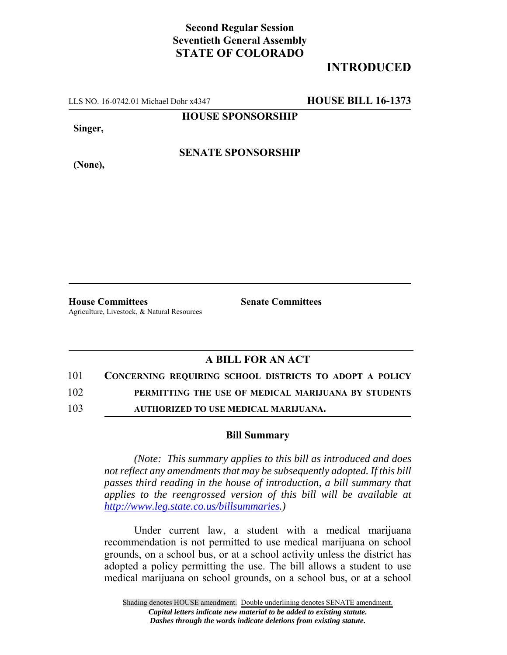## **Second Regular Session Seventieth General Assembly STATE OF COLORADO**

## **INTRODUCED**

LLS NO. 16-0742.01 Michael Dohr x4347 **HOUSE BILL 16-1373**

**HOUSE SPONSORSHIP**

**Singer,**

**SENATE SPONSORSHIP**

**(None),**

**House Committees Senate Committees** Agriculture, Livestock, & Natural Resources

## **A BILL FOR AN ACT**

101 **CONCERNING REQUIRING SCHOOL DISTRICTS TO ADOPT A POLICY**

102 **PERMITTING THE USE OF MEDICAL MARIJUANA BY STUDENTS**

103 **AUTHORIZED TO USE MEDICAL MARIJUANA.**

## **Bill Summary**

*(Note: This summary applies to this bill as introduced and does not reflect any amendments that may be subsequently adopted. If this bill passes third reading in the house of introduction, a bill summary that applies to the reengrossed version of this bill will be available at http://www.leg.state.co.us/billsummaries.)*

Under current law, a student with a medical marijuana recommendation is not permitted to use medical marijuana on school grounds, on a school bus, or at a school activity unless the district has adopted a policy permitting the use. The bill allows a student to use medical marijuana on school grounds, on a school bus, or at a school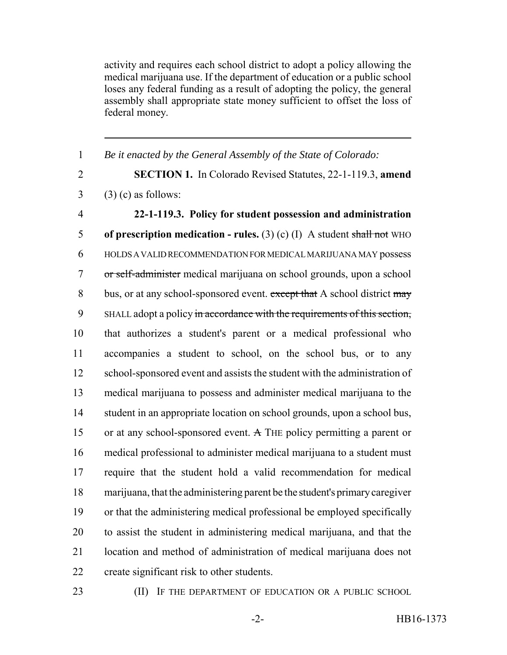activity and requires each school district to adopt a policy allowing the medical marijuana use. If the department of education or a public school loses any federal funding as a result of adopting the policy, the general assembly shall appropriate state money sufficient to offset the loss of federal money.

 *Be it enacted by the General Assembly of the State of Colorado:* **SECTION 1.** In Colorado Revised Statutes, 22-1-119.3, **amend** (3) (c) as follows: **22-1-119.3. Policy for student possession and administration of prescription medication - rules.** (3) (c) (I) A student shall not WHO HOLDS A VALID RECOMMENDATION FOR MEDICAL MARIJUANA MAY possess or self-administer medical marijuana on school grounds, upon a school 8 bus, or at any school-sponsored event. except that A school district may 9 SHALL adopt a policy in accordance with the requirements of this section, that authorizes a student's parent or a medical professional who accompanies a student to school, on the school bus, or to any school-sponsored event and assists the student with the administration of medical marijuana to possess and administer medical marijuana to the student in an appropriate location on school grounds, upon a school bus, or at any school-sponsored event. A THE policy permitting a parent or medical professional to administer medical marijuana to a student must require that the student hold a valid recommendation for medical marijuana, that the administering parent be the student's primary caregiver or that the administering medical professional be employed specifically to assist the student in administering medical marijuana, and that the location and method of administration of medical marijuana does not create significant risk to other students.

23 (II) IF THE DEPARTMENT OF EDUCATION OR A PUBLIC SCHOOL